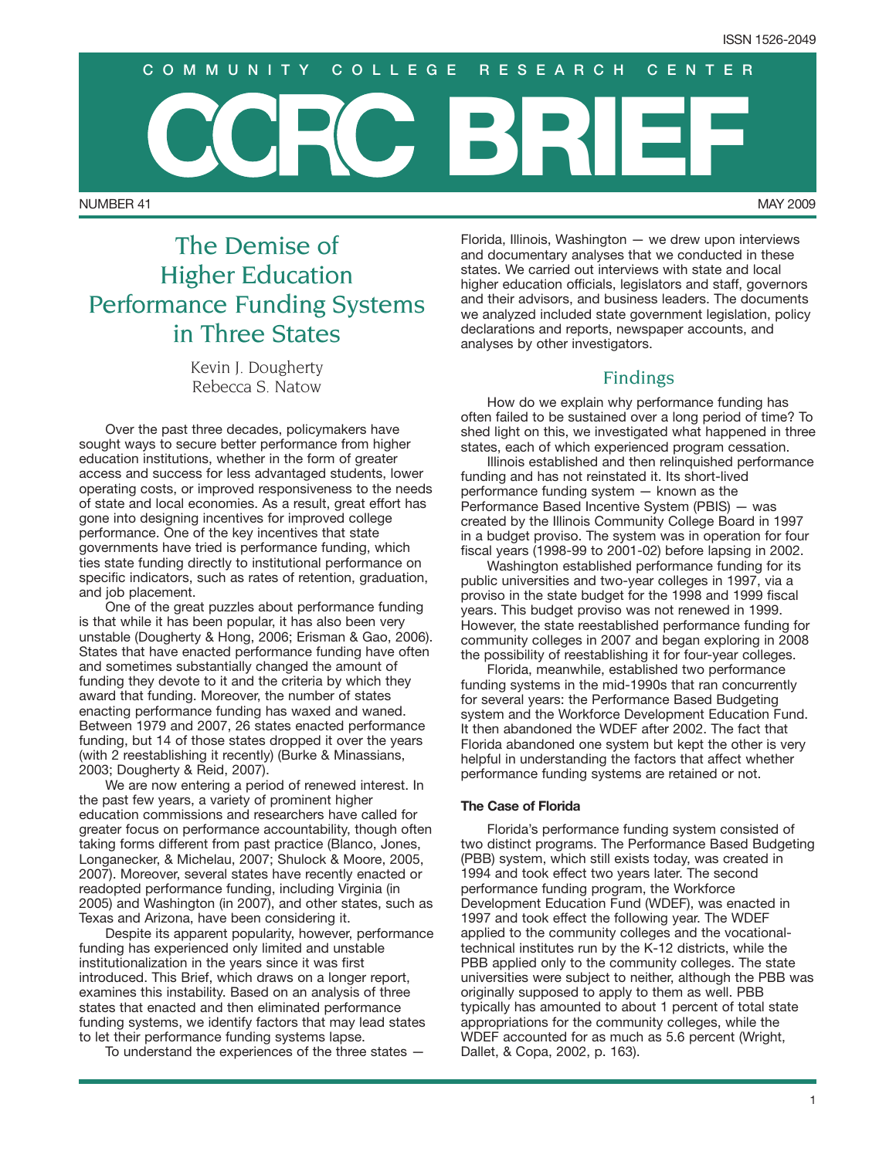NUMBER 41 MAY 2009 **BRIEF COMMUNITY COLLEGE RESEARCH CENTER**

# The Demise of Higher Education Performance Funding Systems in Three States

Kevin J. Dougherty Rebecca S. Natow

Over the past three decades, policymakers have sought ways to secure better performance from higher education institutions, whether in the form of greater access and success for less advantaged students, lower operating costs, or improved responsiveness to the needs of state and local economies. As a result, great effort has gone into designing incentives for improved college performance. One of the key incentives that state governments have tried is performance funding, which ties state funding directly to institutional performance on specific indicators, such as rates of retention, graduation, and job placement.

One of the great puzzles about performance funding is that while it has been popular, it has also been very unstable (Dougherty & Hong, 2006; Erisman & Gao, 2006). States that have enacted performance funding have often and sometimes substantially changed the amount of funding they devote to it and the criteria by which they award that funding. Moreover, the number of states enacting performance funding has waxed and waned. Between 1979 and 2007, 26 states enacted performance funding, but 14 of those states dropped it over the years (with 2 reestablishing it recently) (Burke & Minassians, 2003; Dougherty & Reid, 2007).

We are now entering a period of renewed interest. In the past few years, a variety of prominent higher education commissions and researchers have called for greater focus on performance accountability, though often taking forms different from past practice (Blanco, Jones, Longanecker, & Michelau, 2007; Shulock & Moore, 2005, 2007). Moreover, several states have recently enacted or readopted performance funding, including Virginia (in 2005) and Washington (in 2007), and other states, such as Texas and Arizona, have been considering it.

Despite its apparent popularity, however, performance funding has experienced only limited and unstable institutionalization in the years since it was first introduced. This Brief, which draws on a longer report, examines this instability. Based on an analysis of three states that enacted and then eliminated performance funding systems, we identify factors that may lead states to let their performance funding systems lapse.

To understand the experiences of the three states —

Florida, Illinois, Washington — we drew upon interviews and documentary analyses that we conducted in these states. We carried out interviews with state and local higher education officials, legislators and staff, governors and their advisors, and business leaders. The documents we analyzed included state government legislation, policy declarations and reports, newspaper accounts, and analyses by other investigators.

### Findings

How do we explain why performance funding has often failed to be sustained over a long period of time? To shed light on this, we investigated what happened in three states, each of which experienced program cessation.

Illinois established and then relinquished performance funding and has not reinstated it. Its short-lived performance funding system — known as the Performance Based Incentive System (PBIS) — was created by the Illinois Community College Board in 1997 in a budget proviso. The system was in operation for four fiscal years (1998-99 to 2001-02) before lapsing in 2002.

Washington established performance funding for its public universities and two-year colleges in 1997, via a proviso in the state budget for the 1998 and 1999 fiscal years. This budget proviso was not renewed in 1999. However, the state reestablished performance funding for community colleges in 2007 and began exploring in 2008 the possibility of reestablishing it for four-year colleges.

Florida, meanwhile, established two performance funding systems in the mid-1990s that ran concurrently for several years: the Performance Based Budgeting system and the Workforce Development Education Fund. It then abandoned the WDEF after 2002. The fact that Florida abandoned one system but kept the other is very helpful in understanding the factors that affect whether performance funding systems are retained or not.

#### **The Case of Florida**

Florida's performance funding system consisted of two distinct programs. The Performance Based Budgeting (PBB) system, which still exists today, was created in 1994 and took effect two years later. The second performance funding program, the Workforce Development Education Fund (WDEF), was enacted in 1997 and took effect the following year. The WDEF applied to the community colleges and the vocationaltechnical institutes run by the K-12 districts, while the PBB applied only to the community colleges. The state universities were subject to neither, although the PBB was originally supposed to apply to them as well. PBB typically has amounted to about 1 percent of total state appropriations for the community colleges, while the WDEF accounted for as much as 5.6 percent (Wright, Dallet, & Copa, 2002, p. 163).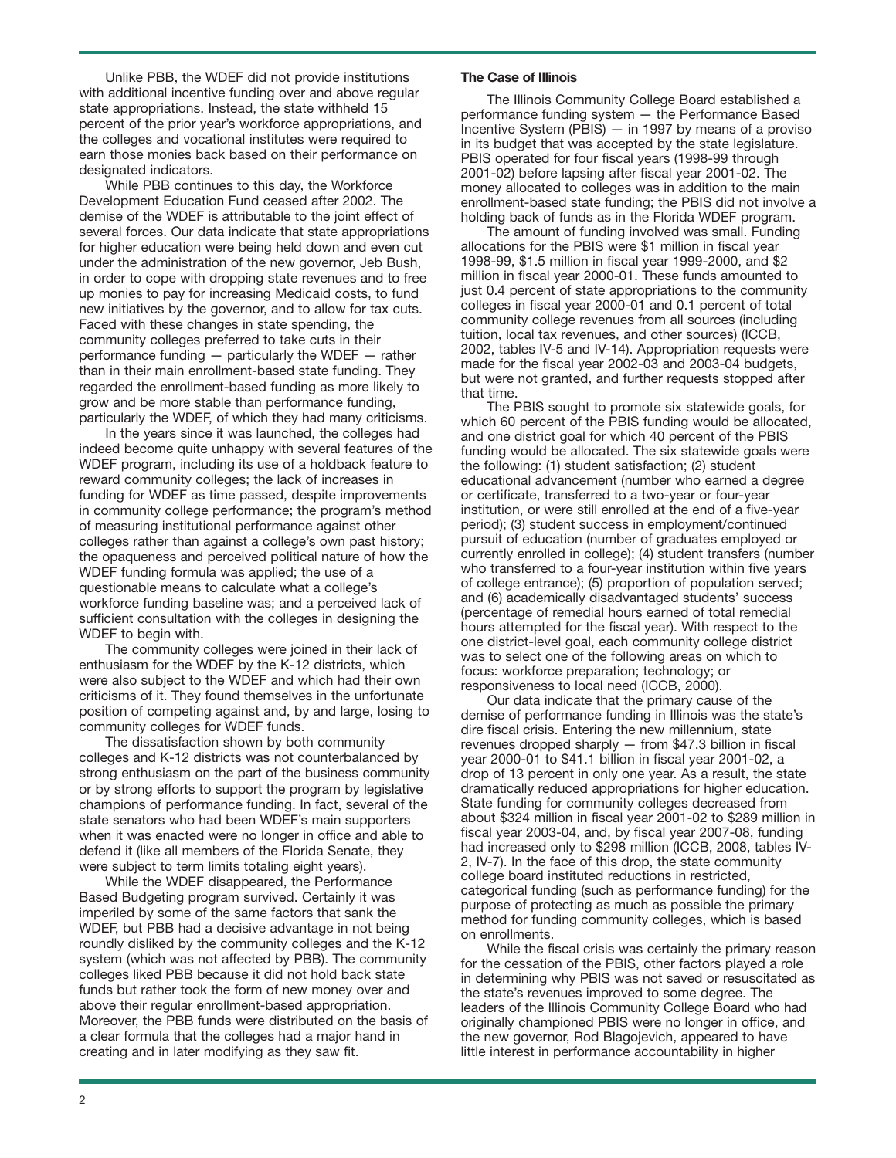Unlike PBB, the WDEF did not provide institutions with additional incentive funding over and above regular state appropriations. Instead, the state withheld 15 percent of the prior year's workforce appropriations, and the colleges and vocational institutes were required to earn those monies back based on their performance on designated indicators.

While PBB continues to this day, the Workforce Development Education Fund ceased after 2002. The demise of the WDEF is attributable to the joint effect of several forces. Our data indicate that state appropriations for higher education were being held down and even cut under the administration of the new governor, Jeb Bush, in order to cope with dropping state revenues and to free up monies to pay for increasing Medicaid costs, to fund new initiatives by the governor, and to allow for tax cuts. Faced with these changes in state spending, the community colleges preferred to take cuts in their performance funding — particularly the WDEF — rather than in their main enrollment-based state funding. They regarded the enrollment-based funding as more likely to grow and be more stable than performance funding, particularly the WDEF, of which they had many criticisms.

In the years since it was launched, the colleges had indeed become quite unhappy with several features of the WDEF program, including its use of a holdback feature to reward community colleges; the lack of increases in funding for WDEF as time passed, despite improvements in community college performance; the program's method of measuring institutional performance against other colleges rather than against a college's own past history; the opaqueness and perceived political nature of how the WDEF funding formula was applied; the use of a questionable means to calculate what a college's workforce funding baseline was; and a perceived lack of sufficient consultation with the colleges in designing the WDEF to begin with.

The community colleges were joined in their lack of enthusiasm for the WDEF by the K-12 districts, which were also subject to the WDEF and which had their own criticisms of it. They found themselves in the unfortunate position of competing against and, by and large, losing to community colleges for WDEF funds.

The dissatisfaction shown by both community colleges and K-12 districts was not counterbalanced by strong enthusiasm on the part of the business community or by strong efforts to support the program by legislative champions of performance funding. In fact, several of the state senators who had been WDEF's main supporters when it was enacted were no longer in office and able to defend it (like all members of the Florida Senate, they were subject to term limits totaling eight years).

While the WDEF disappeared, the Performance Based Budgeting program survived. Certainly it was imperiled by some of the same factors that sank the WDEF, but PBB had a decisive advantage in not being roundly disliked by the community colleges and the K-12 system (which was not affected by PBB). The community colleges liked PBB because it did not hold back state funds but rather took the form of new money over and above their regular enrollment-based appropriation. Moreover, the PBB funds were distributed on the basis of a clear formula that the colleges had a major hand in creating and in later modifying as they saw fit.

#### **The Case of Illinois**

The Illinois Community College Board established a performance funding system — the Performance Based Incentive System (PBIS)  $-$  in 1997 by means of a proviso in its budget that was accepted by the state legislature. PBIS operated for four fiscal years (1998-99 through 2001-02) before lapsing after fiscal year 2001-02. The money allocated to colleges was in addition to the main enrollment-based state funding; the PBIS did not involve a holding back of funds as in the Florida WDEF program.

The amount of funding involved was small. Funding allocations for the PBIS were \$1 million in fiscal year 1998-99, \$1.5 million in fiscal year 1999-2000, and \$2 million in fiscal year 2000-01. These funds amounted to just 0.4 percent of state appropriations to the community colleges in fiscal year 2000-01 and 0.1 percent of total community college revenues from all sources (including tuition, local tax revenues, and other sources) (ICCB, 2002, tables IV-5 and IV-14). Appropriation requests were made for the fiscal year 2002-03 and 2003-04 budgets, but were not granted, and further requests stopped after that time.

The PBIS sought to promote six statewide goals, for which 60 percent of the PBIS funding would be allocated, and one district goal for which 40 percent of the PBIS funding would be allocated. The six statewide goals were the following: (1) student satisfaction; (2) student educational advancement (number who earned a degree or certificate, transferred to a two-year or four-year institution, or were still enrolled at the end of a five-year period); (3) student success in employment/continued pursuit of education (number of graduates employed or currently enrolled in college); (4) student transfers (number who transferred to a four-year institution within five years of college entrance); (5) proportion of population served; and (6) academically disadvantaged students' success (percentage of remedial hours earned of total remedial hours attempted for the fiscal year). With respect to the one district-level goal, each community college district was to select one of the following areas on which to focus: workforce preparation; technology; or responsiveness to local need (ICCB, 2000).

Our data indicate that the primary cause of the demise of performance funding in Illinois was the state's dire fiscal crisis. Entering the new millennium, state revenues dropped sharply — from \$47.3 billion in fiscal year 2000-01 to \$41.1 billion in fiscal year 2001-02, a drop of 13 percent in only one year. As a result, the state dramatically reduced appropriations for higher education. State funding for community colleges decreased from about \$324 million in fiscal year 2001-02 to \$289 million in fiscal year 2003-04, and, by fiscal year 2007-08, funding had increased only to \$298 million (ICCB, 2008, tables IV-2, IV-7). In the face of this drop, the state community college board instituted reductions in restricted, categorical funding (such as performance funding) for the purpose of protecting as much as possible the primary method for funding community colleges, which is based on enrollments.

While the fiscal crisis was certainly the primary reason for the cessation of the PBIS, other factors played a role in determining why PBIS was not saved or resuscitated as the state's revenues improved to some degree. The leaders of the Illinois Community College Board who had originally championed PBIS were no longer in office, and the new governor, Rod Blagojevich, appeared to have little interest in performance accountability in higher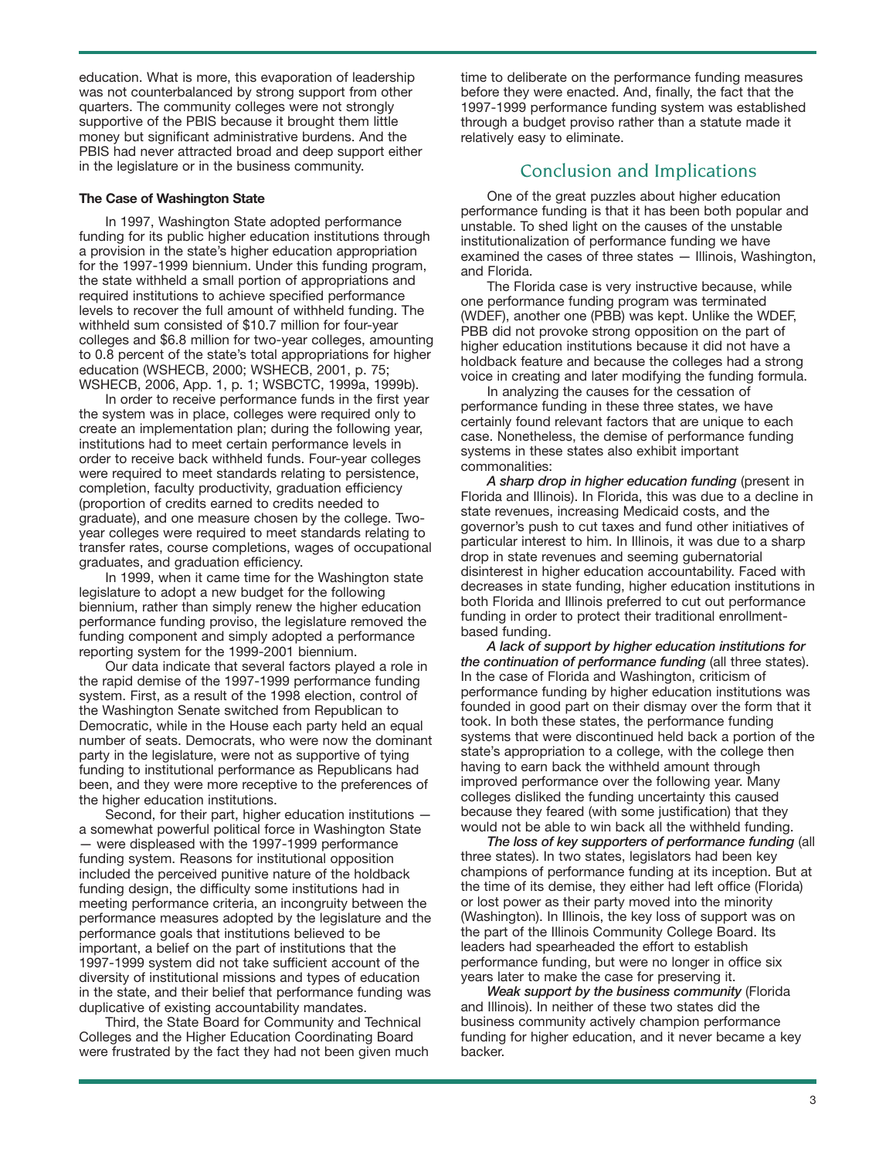education. What is more, this evaporation of leadership was not counterbalanced by strong support from other quarters. The community colleges were not strongly supportive of the PBIS because it brought them little money but significant administrative burdens. And the PBIS had never attracted broad and deep support either in the legislature or in the business community.

#### **The Case of Washington State**

In 1997, Washington State adopted performance funding for its public higher education institutions through a provision in the state's higher education appropriation for the 1997-1999 biennium. Under this funding program, the state withheld a small portion of appropriations and required institutions to achieve specified performance levels to recover the full amount of withheld funding. The withheld sum consisted of \$10.7 million for four-year colleges and \$6.8 million for two-year colleges, amounting to 0.8 percent of the state's total appropriations for higher education (WSHECB, 2000; WSHECB, 2001, p. 75; WSHECB, 2006, App. 1, p. 1; WSBCTC, 1999a, 1999b).

In order to receive performance funds in the first year the system was in place, colleges were required only to create an implementation plan; during the following year, institutions had to meet certain performance levels in order to receive back withheld funds. Four-year colleges were required to meet standards relating to persistence, completion, faculty productivity, graduation efficiency (proportion of credits earned to credits needed to graduate), and one measure chosen by the college. Twoyear colleges were required to meet standards relating to transfer rates, course completions, wages of occupational graduates, and graduation efficiency.

In 1999, when it came time for the Washington state legislature to adopt a new budget for the following biennium, rather than simply renew the higher education performance funding proviso, the legislature removed the funding component and simply adopted a performance reporting system for the 1999-2001 biennium.

Our data indicate that several factors played a role in the rapid demise of the 1997-1999 performance funding system. First, as a result of the 1998 election, control of the Washington Senate switched from Republican to Democratic, while in the House each party held an equal number of seats. Democrats, who were now the dominant party in the legislature, were not as supportive of tying funding to institutional performance as Republicans had been, and they were more receptive to the preferences of the higher education institutions.

Second, for their part, higher education institutions a somewhat powerful political force in Washington State — were displeased with the 1997-1999 performance funding system. Reasons for institutional opposition included the perceived punitive nature of the holdback funding design, the difficulty some institutions had in meeting performance criteria, an incongruity between the performance measures adopted by the legislature and the performance goals that institutions believed to be important, a belief on the part of institutions that the 1997-1999 system did not take sufficient account of the diversity of institutional missions and types of education in the state, and their belief that performance funding was duplicative of existing accountability mandates.

Third, the State Board for Community and Technical Colleges and the Higher Education Coordinating Board were frustrated by the fact they had not been given much time to deliberate on the performance funding measures before they were enacted. And, finally, the fact that the 1997-1999 performance funding system was established through a budget proviso rather than a statute made it relatively easy to eliminate.

# Conclusion and Implications

One of the great puzzles about higher education performance funding is that it has been both popular and unstable. To shed light on the causes of the unstable institutionalization of performance funding we have examined the cases of three states — Illinois, Washington, and Florida.

The Florida case is very instructive because, while one performance funding program was terminated (WDEF), another one (PBB) was kept. Unlike the WDEF, PBB did not provoke strong opposition on the part of higher education institutions because it did not have a holdback feature and because the colleges had a strong voice in creating and later modifying the funding formula.

In analyzing the causes for the cessation of performance funding in these three states, we have certainly found relevant factors that are unique to each case. Nonetheless, the demise of performance funding systems in these states also exhibit important commonalities:

*A sharp drop in higher education funding* (present in Florida and Illinois). In Florida, this was due to a decline in state revenues, increasing Medicaid costs, and the governor's push to cut taxes and fund other initiatives of particular interest to him. In Illinois, it was due to a sharp drop in state revenues and seeming gubernatorial disinterest in higher education accountability. Faced with decreases in state funding, higher education institutions in both Florida and Illinois preferred to cut out performance funding in order to protect their traditional enrollmentbased funding.

*A lack of support by higher education institutions for the continuation of performance funding* (all three states). In the case of Florida and Washington, criticism of performance funding by higher education institutions was founded in good part on their dismay over the form that it took. In both these states, the performance funding systems that were discontinued held back a portion of the state's appropriation to a college, with the college then having to earn back the withheld amount through improved performance over the following year. Many colleges disliked the funding uncertainty this caused because they feared (with some justification) that they would not be able to win back all the withheld funding.

*The loss of key supporters of performance funding* (all three states). In two states, legislators had been key champions of performance funding at its inception. But at the time of its demise, they either had left office (Florida) or lost power as their party moved into the minority (Washington). In Illinois, the key loss of support was on the part of the Illinois Community College Board. Its leaders had spearheaded the effort to establish performance funding, but were no longer in office six years later to make the case for preserving it.

*Weak support by the business community* (Florida and Illinois). In neither of these two states did the business community actively champion performance funding for higher education, and it never became a key backer.